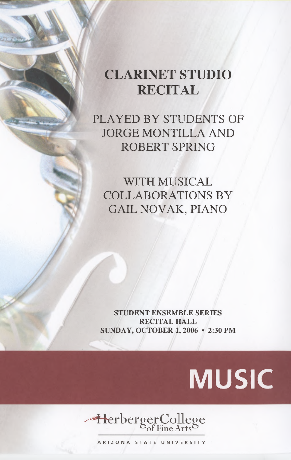## **CLARINET STUDIO RECITAL**

PLAYED BY STUDENTS OF JORGE MONTILLA AND ROBERT SPRING

WITH MUSICAL COLLABORATIONS BY GAIL NOVAK, PIANO

**STUDENT ENSEMBLE SERIES RECITAL HALL SUNDAY, OCTOBER 1, 2006 • 2:30 PM**

## **MUSIC**



**ARIZONA STATE UNIVERSITY**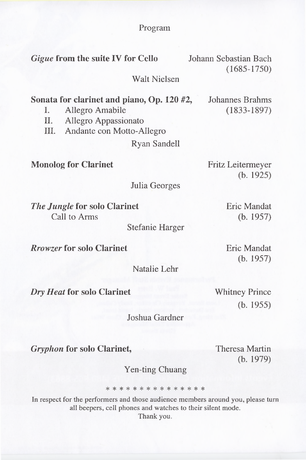**Program**

**Gigue from the suite IV for Cello** Johann Sebastian Bach (1685-1750) Walt Nielsen **Sonata for clarinet and piano, Op. 120** #2, Johannes Brahms I. Allegro Amabile (1833-1897) II. Allegro Appassionato III. Andante con Motto-Allegro Ryan Sandell **Monolog for Clarinet** Fritz Leitermeyer (b. 1925) Julia Georges *The Jungle* **for solo Clarinet** Call to Arms Stefanie Harger *Rrowzer* **for solo Clarinet** Natalie Lehr Eric Mandat (b. 1957) Eric Mandat (b. 1957)

*Dry Heat* **for solo Clarinet**

Whitney Prince (b. 1955)

Joshua Gardner

*Gryphon* **for solo Clarinet,** Theresa Martin

(b. 1979)

Yen-ting Chuang

\* \* \* \* \* \* \* \* \* \* \* \* \* \*

In respect for the performers and those audience members around you, please turn all beepers, cell phones and watches to their silent mode.

Thank you.